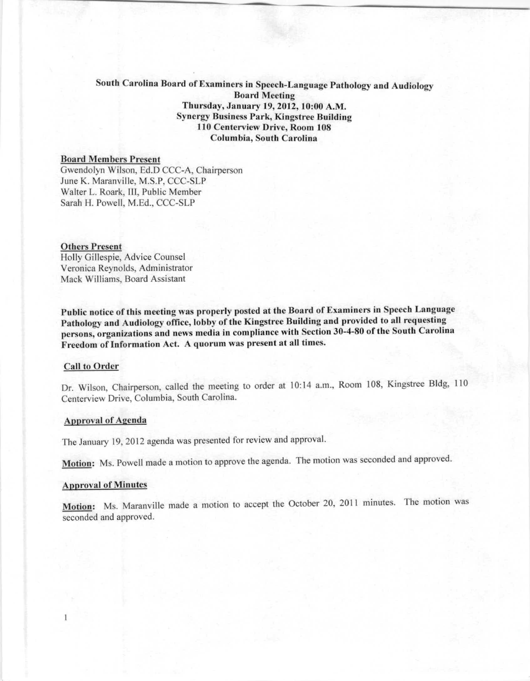# South Carolina Board of Examiners in Speech-Language Pathology and Audiology' **Board Meeting** Thursday, January 19, 2012, 10:00 A.M. Synergy Business Park, Kingstree Building 110 Centerview Drive, Room 108 Columbia, South Carolina

## Board Members Present

Gwendolyn Wilson, Ed.D CCC-A, Chairperson June K. Maranville, M.S.P, CCC-SLP Walter L. Roark, Ill, Public Member Sarah H. Powell, M.Ed., CCC-SLP

### Others Present

Holly Gillespie, Advice Counsel Veronica Reynolds, Administrator Mack Williams, Board Assistant

Public notice of this mceting was propcrly posted at the Board of Examiners in Speech Language Pathology and Audiology office, lobby of the Kingstree Building and provided to all requesting persons, organizations and news media in compliance with Section 30-4-80 of the South Carolina Freedom of Information Act. A quorum was present at all times.

## Call to Order

Dr. Wilson, Chairperson, called the meeting to order at 10,14 a.m., Room 108, Kingstree Bldg, 110 Centerview Drive, Columbia, South Carolina.

#### Approval of Agenda

The January 19,2012 agenda was presented for review and approval.

Motion: Ms. Powell made a motion to approve the agenda. The motion was seconded and approved.

#### **Approval of Minutes**

Motion: Ms. Maranville made a motion to accept the October 20, 2011 minutes. The motion was seconded and approved.